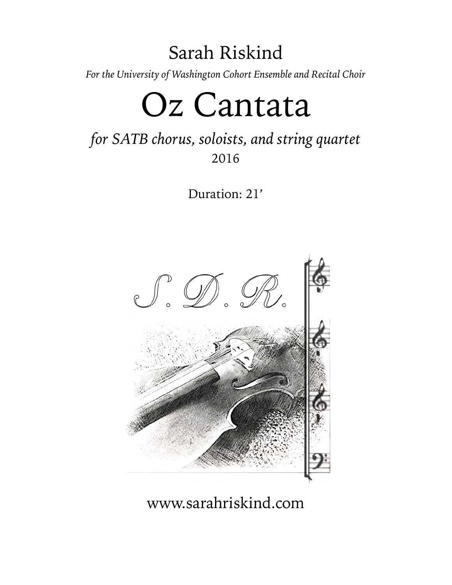# Sarah Riskind

*For the University of Washington Cohort Ensemble and Recital Choir*

# Oz Cantata

# *for SATB chorus, soloists, and string quartet* 2016

Duration: 21'



www.sarahriskind.com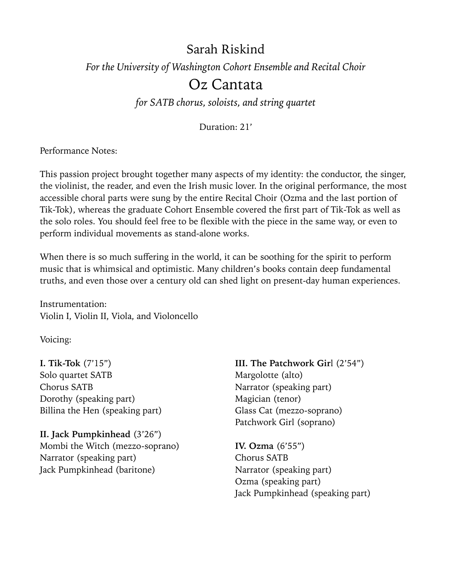# Sarah Riskind *For the University of Washington Cohort Ensemble and Recital Choir*

## Oz Cantata

*for SATB chorus, soloists, and string quartet* 

Duration: 21'

Performance Notes:

This passion project brought together many aspects of my identity: the conductor, the singer, the violinist, the reader, and even the Irish music lover. In the original performance, the most accessible choral parts were sung by the entire Recital Choir (Ozma and the last portion of Tik-Tok), whereas the graduate Cohort Ensemble covered the first part of Tik-Tok as well as the solo roles. You should feel free to be flexible with the piece in the same way, or even to perform individual movements as stand-alone works.

When there is so much suffering in the world, it can be soothing for the spirit to perform music that is whimsical and optimistic. Many children's books contain deep fundamental truths, and even those over a century old can shed light on present-day human experiences.

Instrumentation: Violin I, Violin II, Viola, and Violoncello

Voicing:

**I. Tik-Tok** (7'15") Solo quartet SATB Chorus SATB Dorothy (speaking part) Billina the Hen (speaking part)

**II. Jack Pumpkinhead** (3'26") Mombi the Witch (mezzo-soprano) Narrator (speaking part) Jack Pumpkinhead (baritone)

**III. The Patchwork Gir**l (2'54") Margolotte (alto) Narrator (speaking part) Magician (tenor) Glass Cat (mezzo-soprano) Patchwork Girl (soprano)

**IV. Ozma** (6'55") Chorus SATB Narrator (speaking part) Ozma (speaking part) Jack Pumpkinhead (speaking part)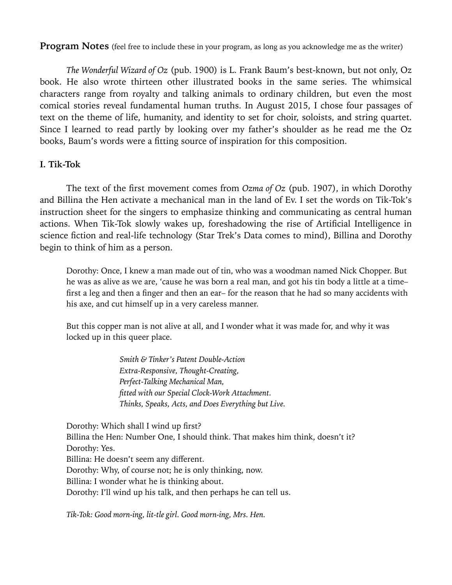**Program Notes** (feel free to include these in your program, as long as you acknowledge me as the writer)

*The Wonderful Wizard of Oz* (pub. 1900) is L. Frank Baum's best-known, but not only, Oz book. He also wrote thirteen other illustrated books in the same series. The whimsical characters range from royalty and talking animals to ordinary children, but even the most comical stories reveal fundamental human truths. In August 2015, I chose four passages of text on the theme of life, humanity, and identity to set for choir, soloists, and string quartet. Since I learned to read partly by looking over my father's shoulder as he read me the Oz books, Baum's words were a fitting source of inspiration for this composition.

#### **I. Tik-Tok**

The text of the first movement comes from *Ozma of Oz* (pub. 1907), in which Dorothy and Billina the Hen activate a mechanical man in the land of Ev. I set the words on Tik-Tok's instruction sheet for the singers to emphasize thinking and communicating as central human actions. When Tik-Tok slowly wakes up, foreshadowing the rise of Artificial Intelligence in science fiction and real-life technology (Star Trek's Data comes to mind), Billina and Dorothy begin to think of him as a person.

Dorothy: Once, I knew a man made out of tin, who was a woodman named Nick Chopper. But he was as alive as we are, 'cause he was born a real man, and got his tin body a little at a time– first a leg and then a finger and then an ear– for the reason that he had so many accidents with his axe, and cut himself up in a very careless manner.

But this copper man is not alive at all, and I wonder what it was made for, and why it was locked up in this queer place.

> *Smith & Tinker's Patent Double-Action Extra-Responsive, Thought-Creating, Perfect-Talking Mechanical Man, fitted with our Special Clock-Work Attachment. Thinks, Speaks, Acts, and Does Everything but Live.*

Dorothy: Which shall I wind up first? Billina the Hen: Number One, I should think. That makes him think, doesn't it? Dorothy: Yes. Billina: He doesn't seem any different. Dorothy: Why, of course not; he is only thinking, now. Billina: I wonder what he is thinking about. Dorothy: I'll wind up his talk, and then perhaps he can tell us.

*Tik-Tok: Good morn-ing, lit-tle girl. Good morn-ing, Mrs. Hen.*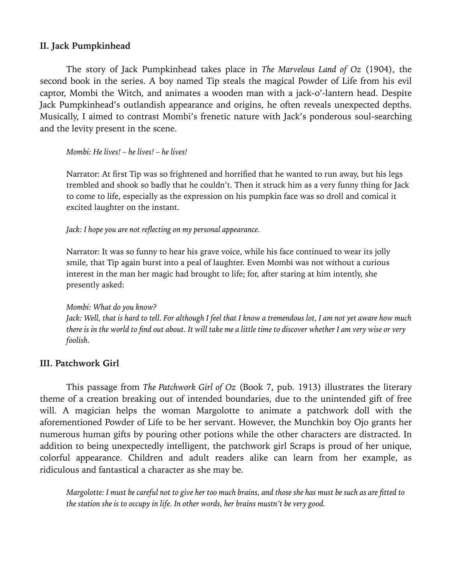#### **II. Jack Pumpkinhead**

The story of Jack Pumpkinhead takes place in *The Marvelous Land of Oz* (1904), the second book in the series. A boy named Tip steals the magical Powder of Life from his evil captor, Mombi the Witch, and animates a wooden man with a jack-o'-lantern head. Despite Jack Pumpkinhead's outlandish appearance and origins, he often reveals unexpected depths. Musically, I aimed to contrast Mombi's frenetic nature with Jack's ponderous soul-searching and the levity present in the scene.

#### *Mombi: He lives! – he lives! – he lives!*

Narrator: At first Tip was so frightened and horrified that he wanted to run away, but his legs trembled and shook so badly that he couldn't. Then it struck him as a very funny thing for Jack to come to life, especially as the expression on his pumpkin face was so droll and comical it excited laughter on the instant.

*Jack: I hope you are not reflecting on my personal appearance.*

Narrator: It was so funny to hear his grave voice, while his face continued to wear its jolly smile, that Tip again burst into a peal of laughter. Even Mombi was not without a curious interest in the man her magic had brought to life; for, after staring at him intently, she presently asked:

#### *Mombi: What do you know?*

*Jack: Well, that is hard to tell. For although I feel that I know a tremendous lot, I am not yet aware how much there is in the world to find out about. It will take me a little time to discover whether I am very wise or very foolish.*

#### **III. Patchwork Girl**

This passage from *The Patchwork Girl of Oz* (Book 7, pub. 1913) illustrates the literary theme of a creation breaking out of intended boundaries, due to the unintended gift of free will. A magician helps the woman Margolotte to animate a patchwork doll with the aforementioned Powder of Life to be her servant. However, the Munchkin boy Ojo grants her numerous human gifts by pouring other potions while the other characters are distracted. In addition to being unexpectedly intelligent, the patchwork girl Scraps is proud of her unique, colorful appearance. Children and adult readers alike can learn from her example, as ridiculous and fantastical a character as she may be.

*Margolotte: I must be careful not to give her too much brains, and those she has must be such as are fitted to the station she is to occupy in life. In other words, her brains mustn't be very good.*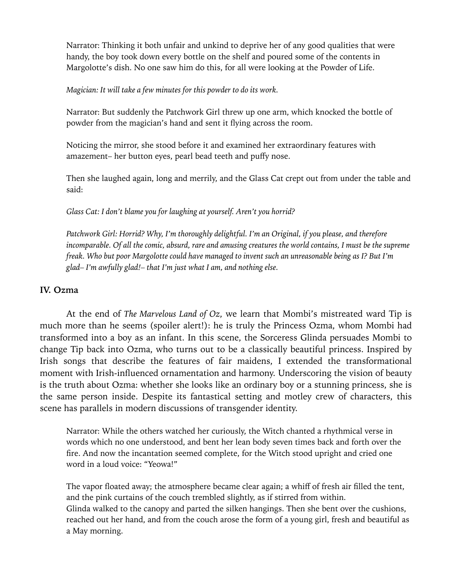Narrator: Thinking it both unfair and unkind to deprive her of any good qualities that were handy, the boy took down every bottle on the shelf and poured some of the contents in Margolotte's dish. No one saw him do this, for all were looking at the Powder of Life.

#### *Magician: It will take a few minutes for this powder to do its work.*

Narrator: But suddenly the Patchwork Girl threw up one arm, which knocked the bottle of powder from the magician's hand and sent it flying across the room.

Noticing the mirror, she stood before it and examined her extraordinary features with amazement– her button eyes, pearl bead teeth and puffy nose.

Then she laughed again, long and merrily, and the Glass Cat crept out from under the table and said:

*Glass Cat: I don't blame you for laughing at yourself. Aren't you horrid?* 

*Patchwork Girl: Horrid? Why, I'm thoroughly delightful. I'm an Original, if you please, and therefore incomparable. Of all the comic, absurd, rare and amusing creatures the world contains, I must be the supreme freak. Who but poor Margolotte could have managed to invent such an unreasonable being as I? But I'm glad– I'm awfully glad!– that I'm just what I am, and nothing else.* 

#### **IV. Ozma**

 At the end of *The Marvelous Land of Oz*, we learn that Mombi's mistreated ward Tip is much more than he seems (spoiler alert!): he is truly the Princess Ozma, whom Mombi had transformed into a boy as an infant. In this scene, the Sorceress Glinda persuades Mombi to change Tip back into Ozma, who turns out to be a classically beautiful princess. Inspired by Irish songs that describe the features of fair maidens, I extended the transformational moment with Irish-influenced ornamentation and harmony. Underscoring the vision of beauty is the truth about Ozma: whether she looks like an ordinary boy or a stunning princess, she is the same person inside. Despite its fantastical setting and motley crew of characters, this scene has parallels in modern discussions of transgender identity.

Narrator: While the others watched her curiously, the Witch chanted a rhythmical verse in words which no one understood, and bent her lean body seven times back and forth over the fire. And now the incantation seemed complete, for the Witch stood upright and cried one word in a loud voice: "Yeowa!"

The vapor floated away; the atmosphere became clear again; a whiff of fresh air filled the tent, and the pink curtains of the couch trembled slightly, as if stirred from within. Glinda walked to the canopy and parted the silken hangings. Then she bent over the cushions, reached out her hand, and from the couch arose the form of a young girl, fresh and beautiful as a May morning.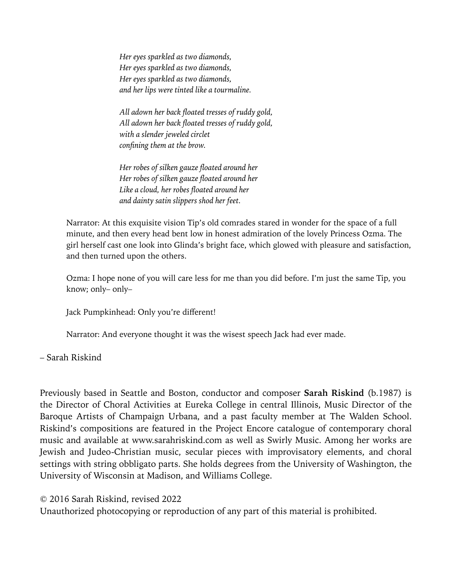*Her eyes sparkled as two diamonds, Her eyes sparkled as two diamonds, Her eyes sparkled as two diamonds, and her lips were tinted like a tourmaline.* 

*All adown her back floated tresses of ruddy gold, All adown her back floated tresses of ruddy gold, with a slender jeweled circlet confining them at the brow.* 

*Her robes of silken gauze floated around her Her robes of silken gauze floated around her Like a cloud, her robes floated around her and dainty satin slippers shod her feet.* 

Narrator: At this exquisite vision Tip's old comrades stared in wonder for the space of a full minute, and then every head bent low in honest admiration of the lovely Princess Ozma. The girl herself cast one look into Glinda's bright face, which glowed with pleasure and satisfaction, and then turned upon the others.

Ozma: I hope none of you will care less for me than you did before. I'm just the same Tip, you know; only– only–

Jack Pumpkinhead: Only you're different!

Narrator: And everyone thought it was the wisest speech Jack had ever made.

– Sarah Riskind

Previously based in Seattle and Boston, conductor and composer **Sarah Riskind** (b.1987) is the Director of Choral Activities at Eureka College in central Illinois, Music Director of the Baroque Artists of Champaign Urbana, and a past faculty member at The Walden School. Riskind's compositions are featured in the Project Encore catalogue of contemporary choral music and available at www.sarahriskind.com as well as Swirly Music. Among her works are Jewish and Judeo-Christian music, secular pieces with improvisatory elements, and choral settings with string obbligato parts. She holds degrees from the University of Washington, the University of Wisconsin at Madison, and Williams College.

© 2016 Sarah Riskind, revised 2022

Unauthorized photocopying or reproduction of any part of this material is prohibited.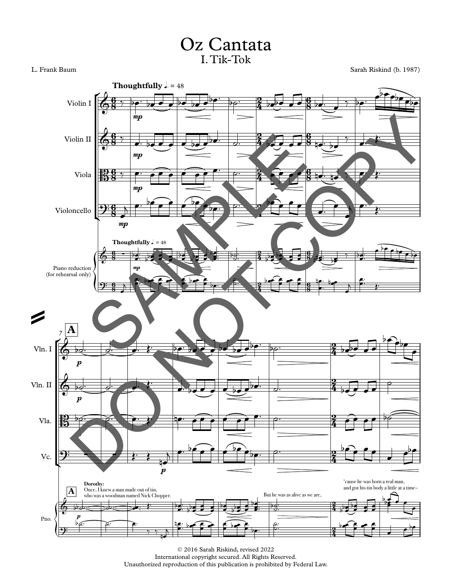## Oz Cantata I. Tik-Tok

Sarah Riskind (b. 1987)



<sup>© 2016</sup> Sarah Riskind, revised 2022 International copyright secured. All Rights Reserved. Unauthorized reproduction of this publication is prohibited by Federal Law.

L. Frank Baum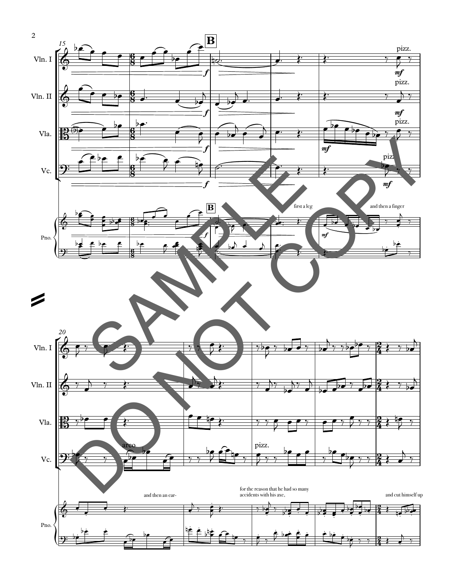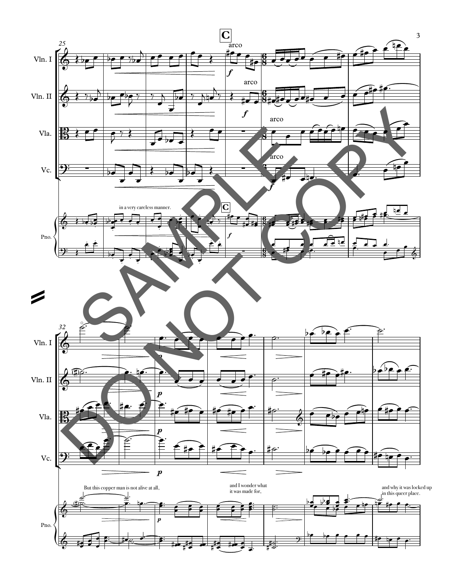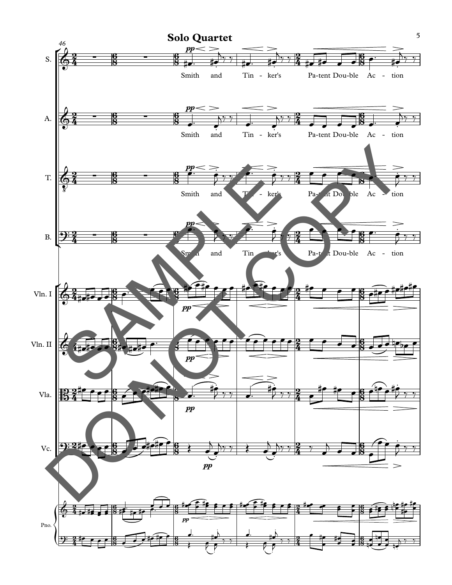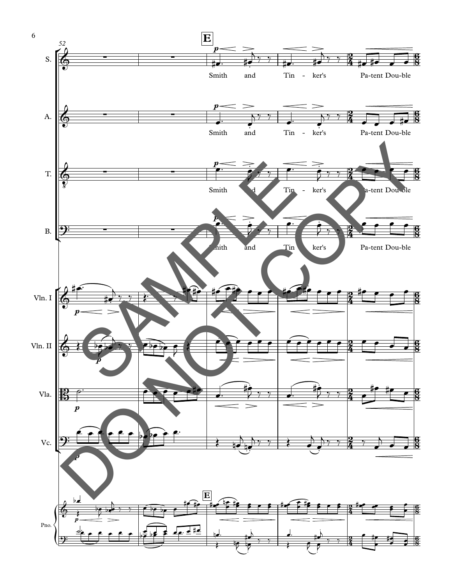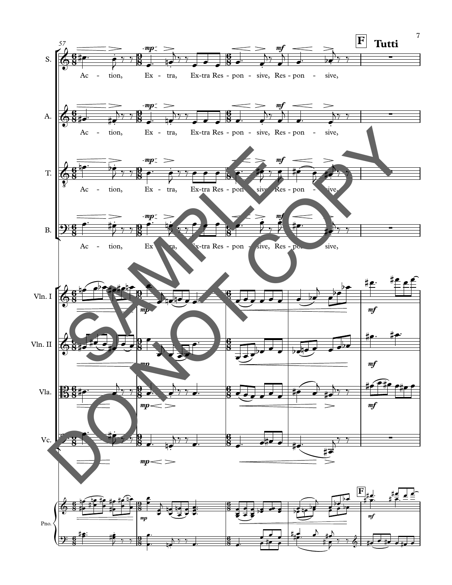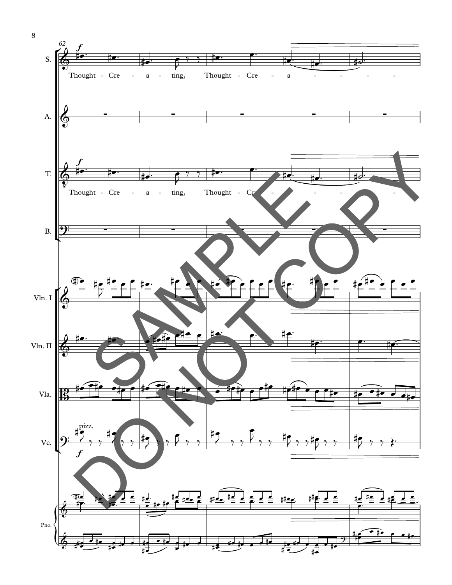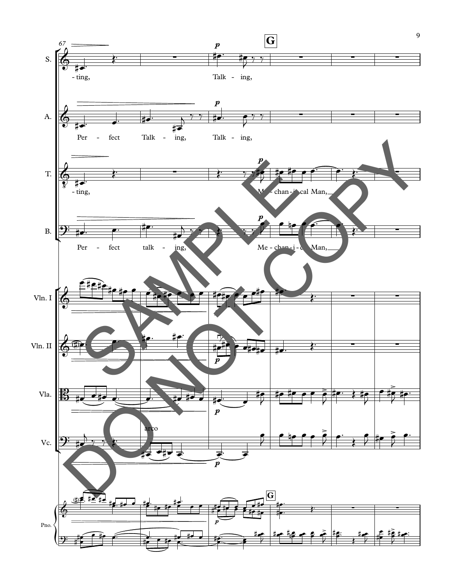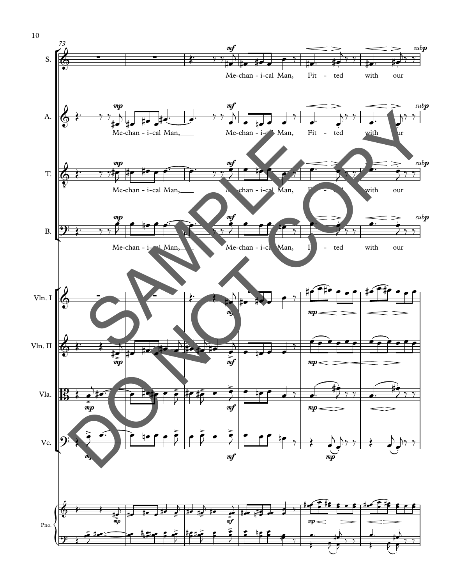

 $10<sup>10</sup>$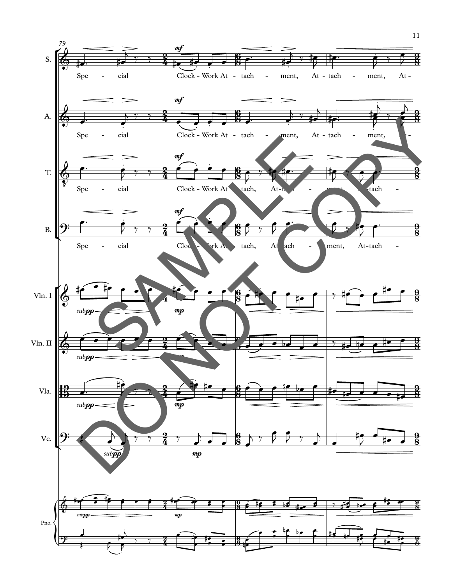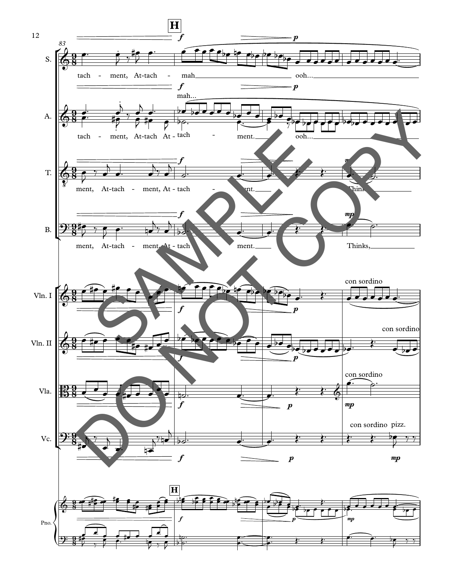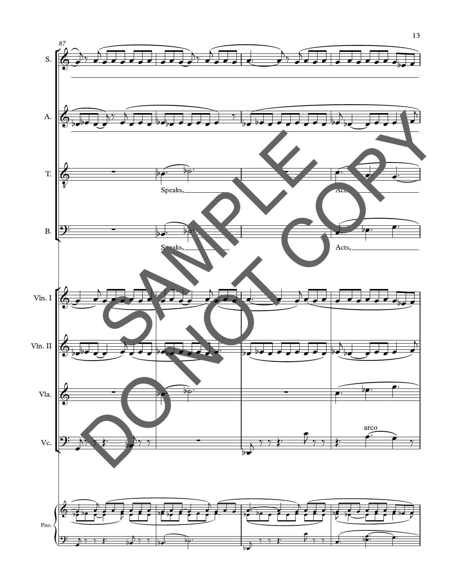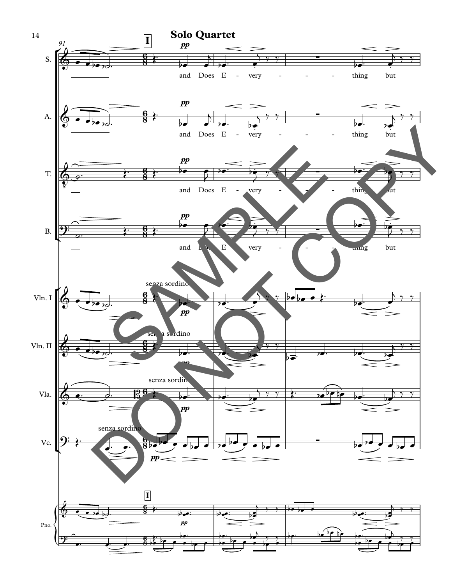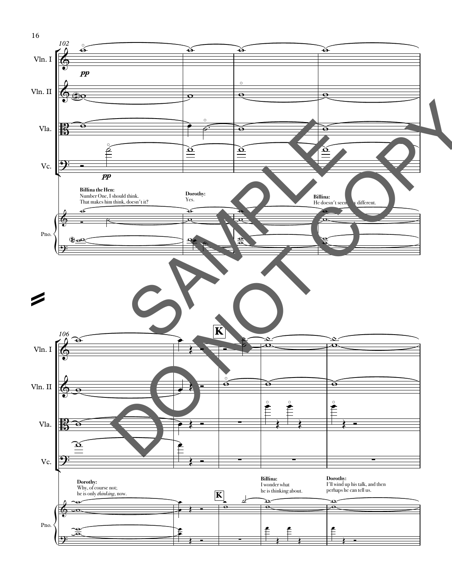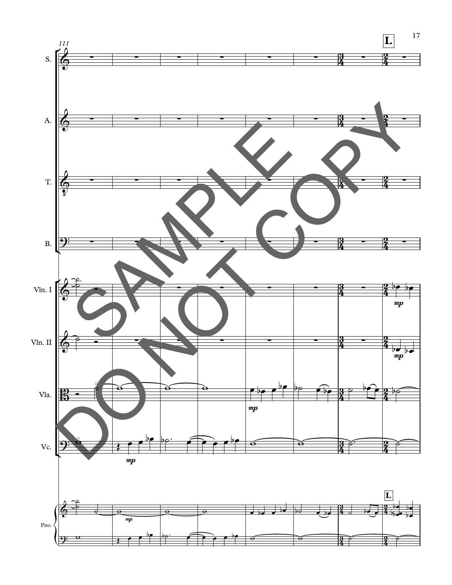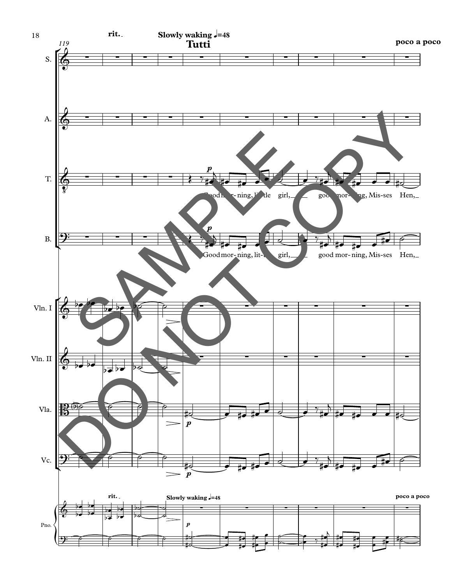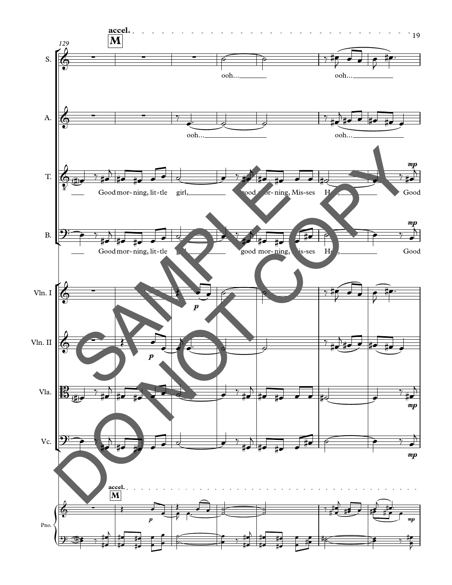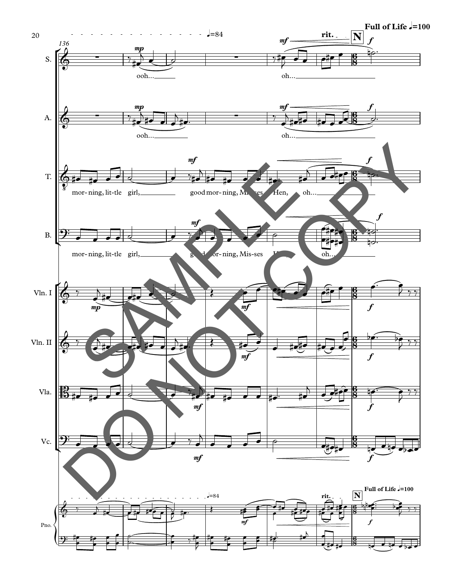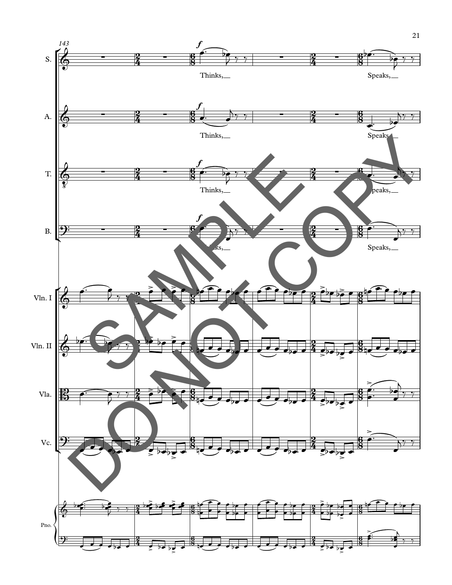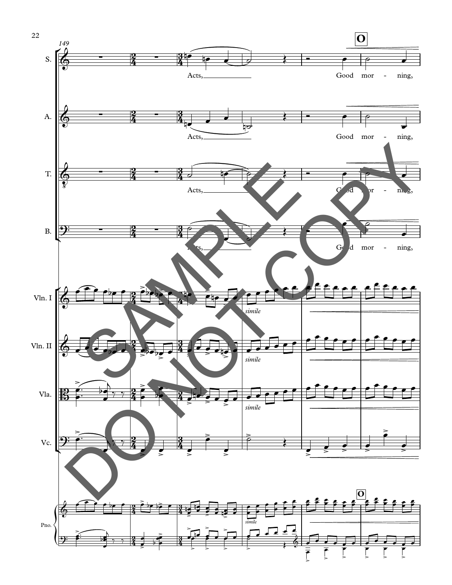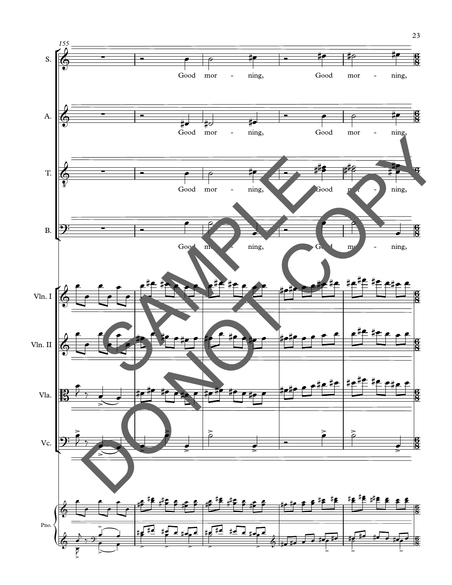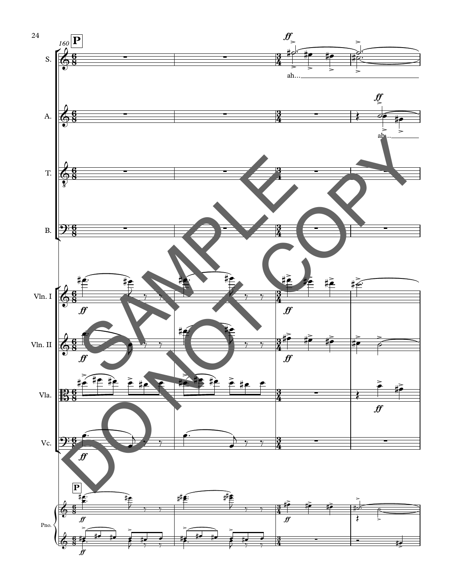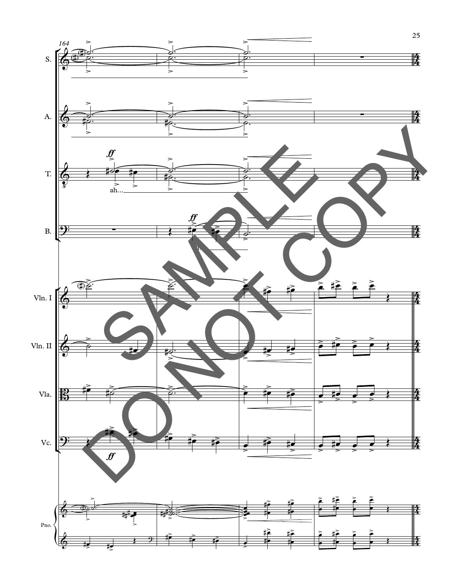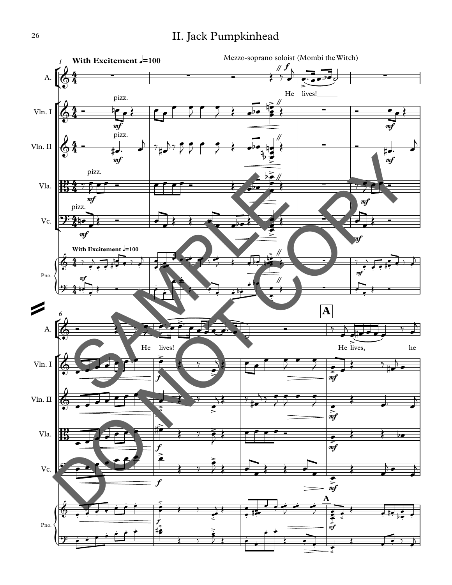## II. Jack Pumpkinhead

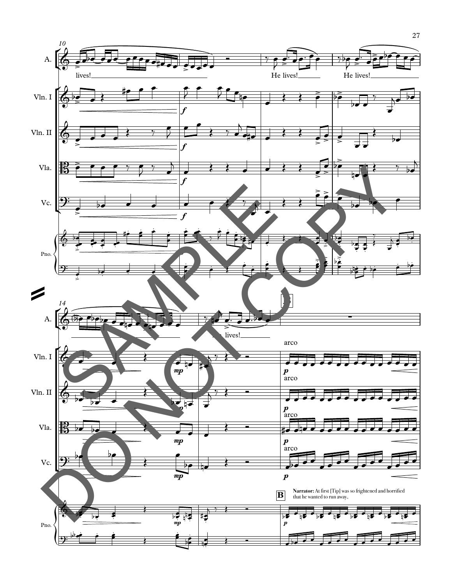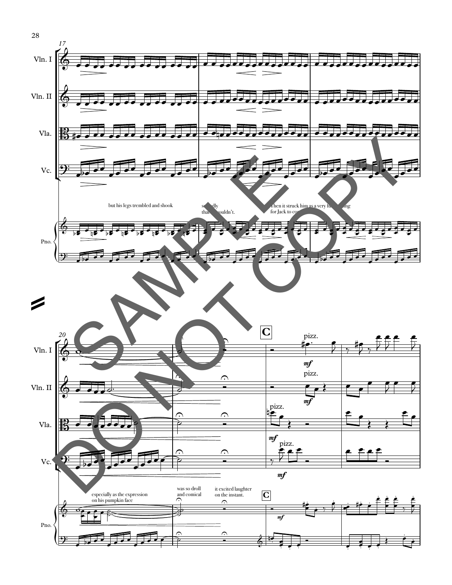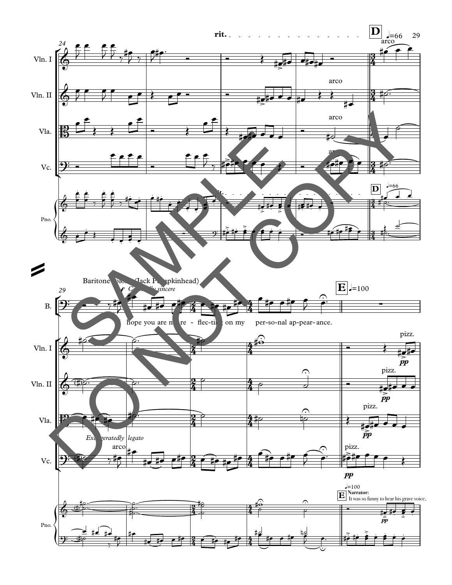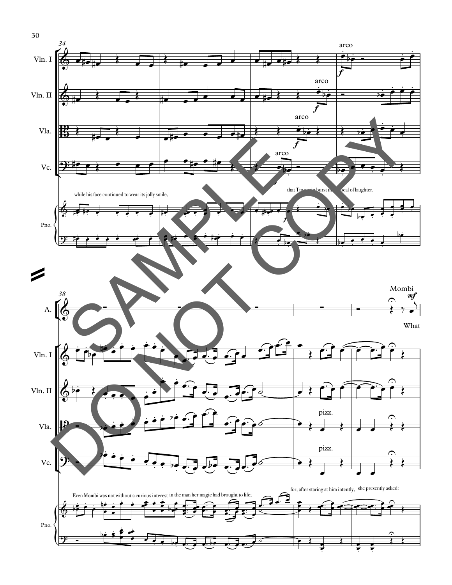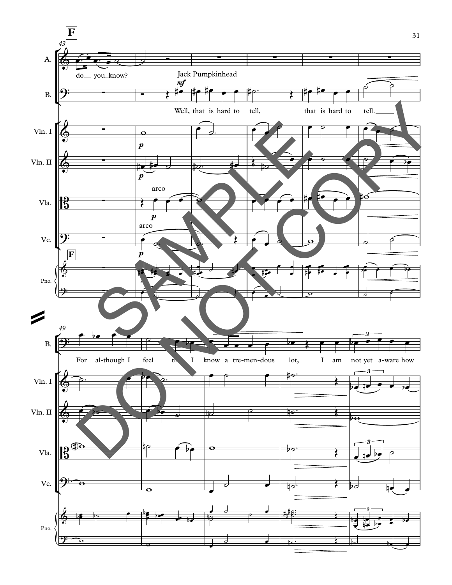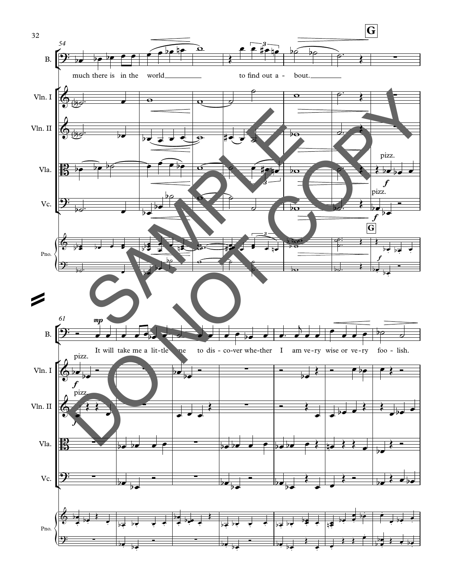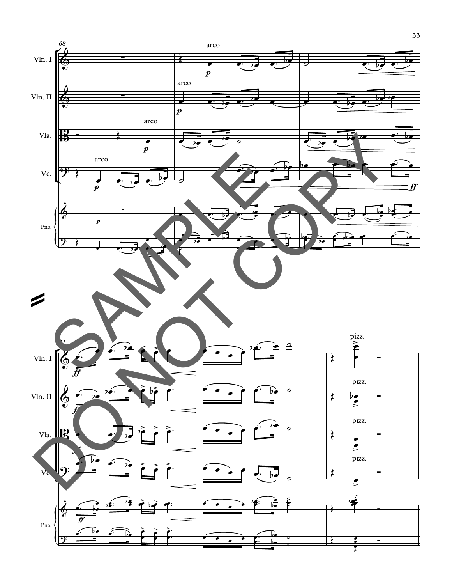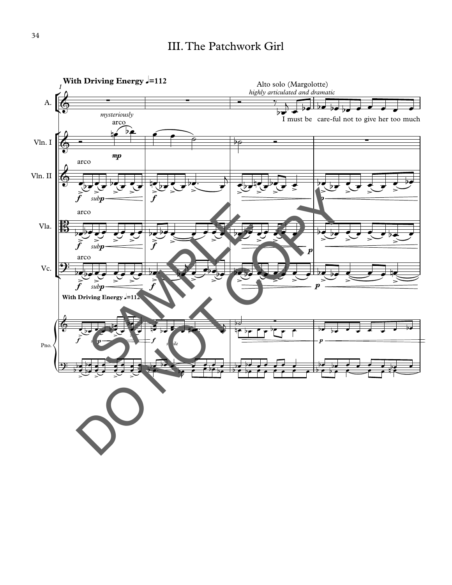### III. The Patchwork Girl

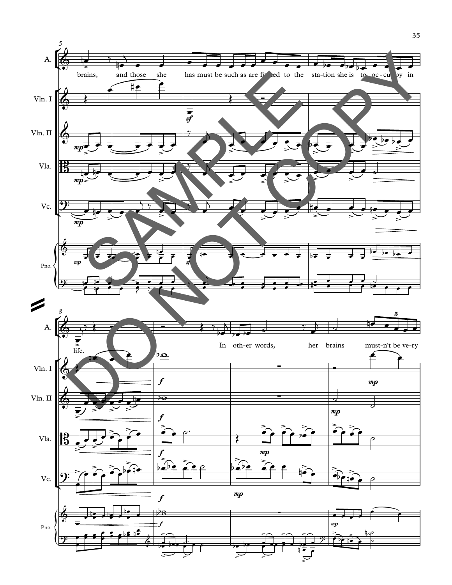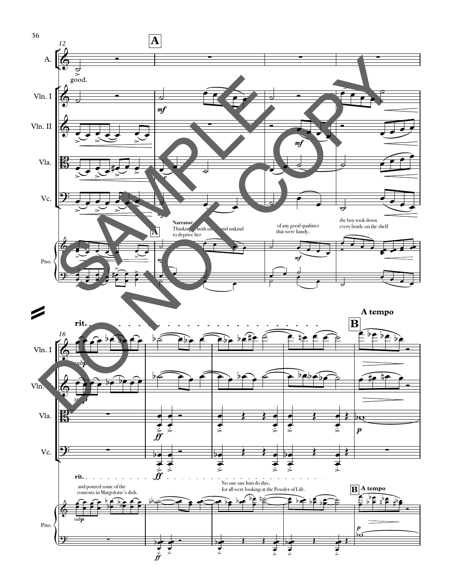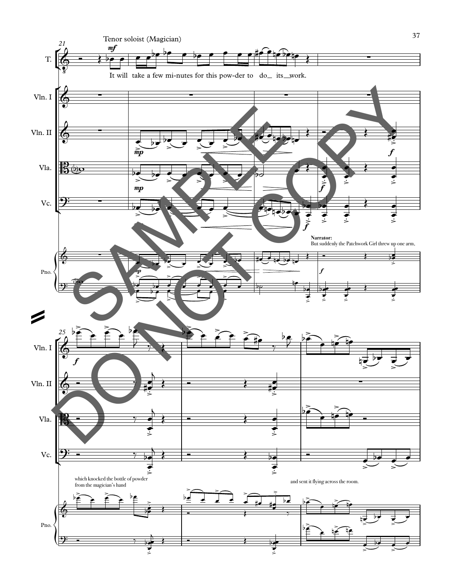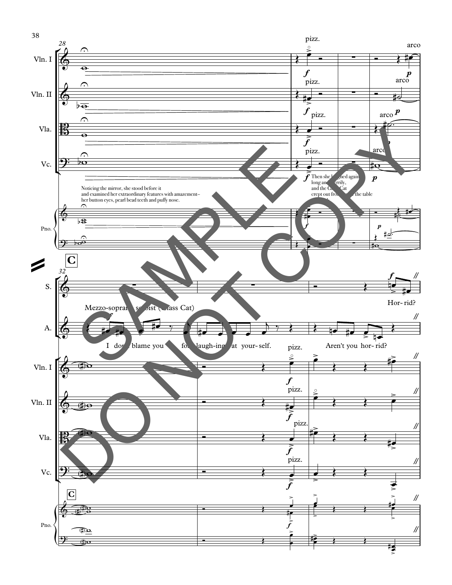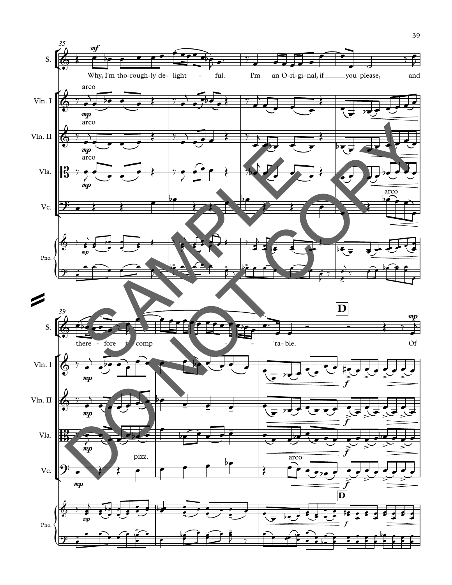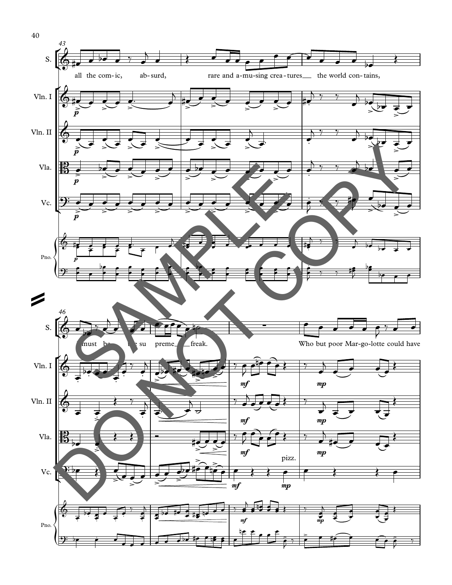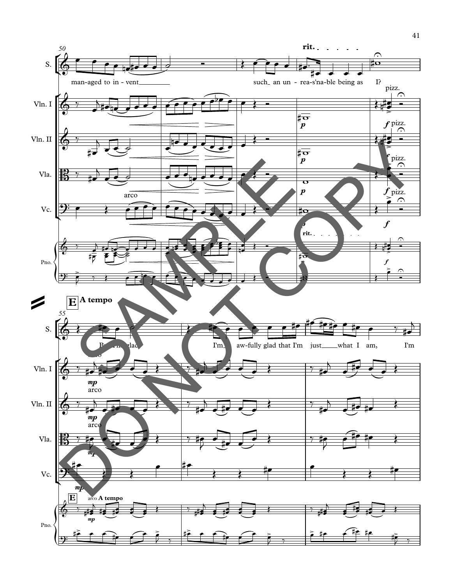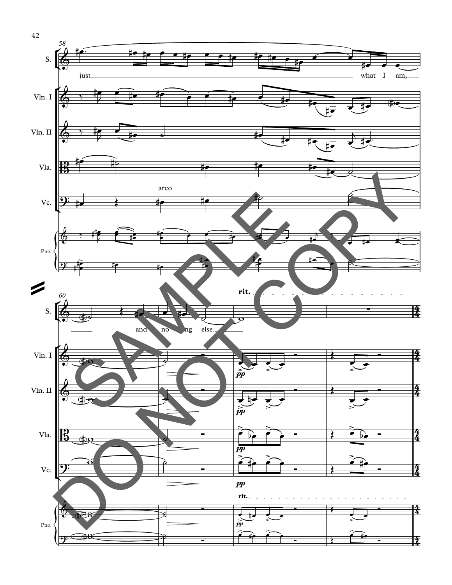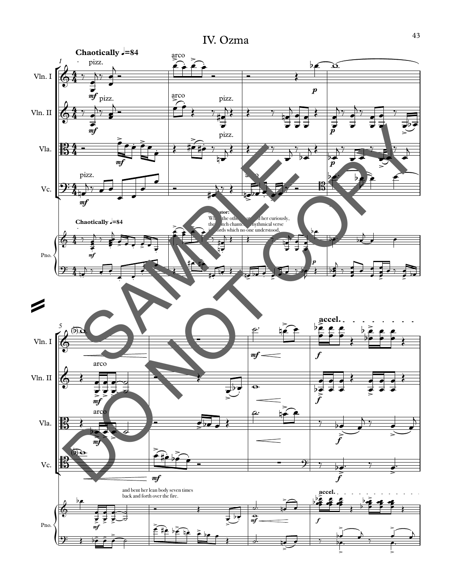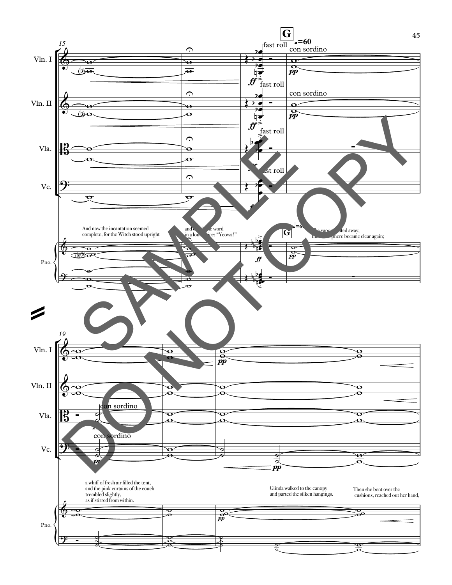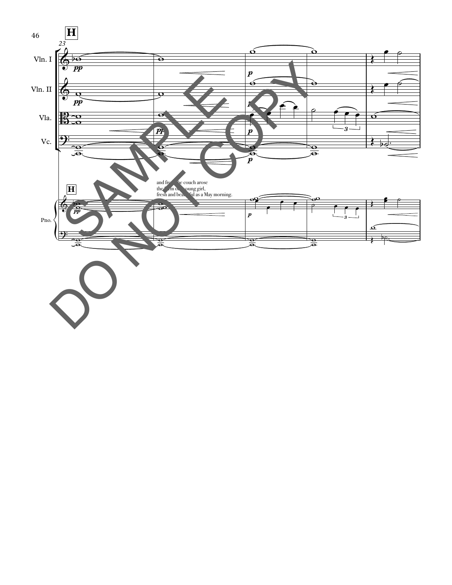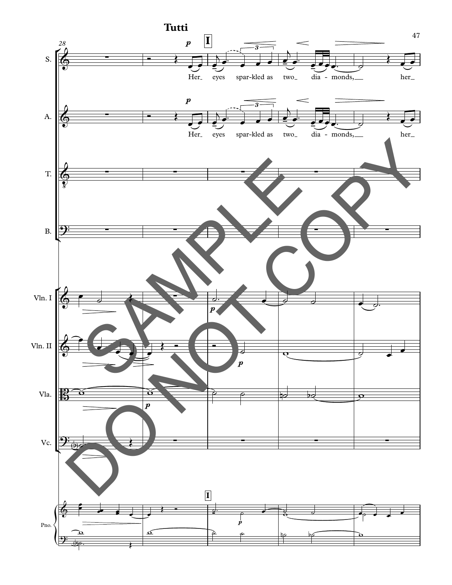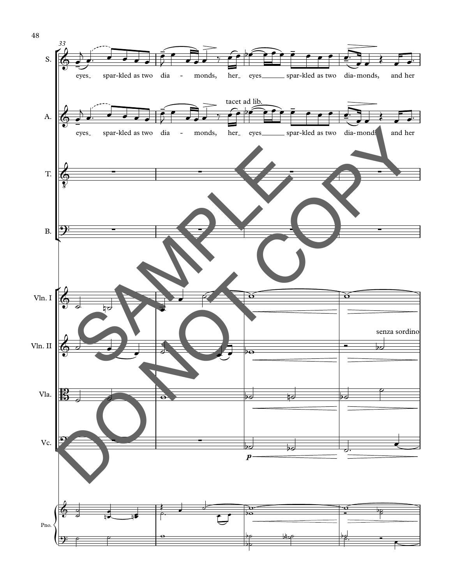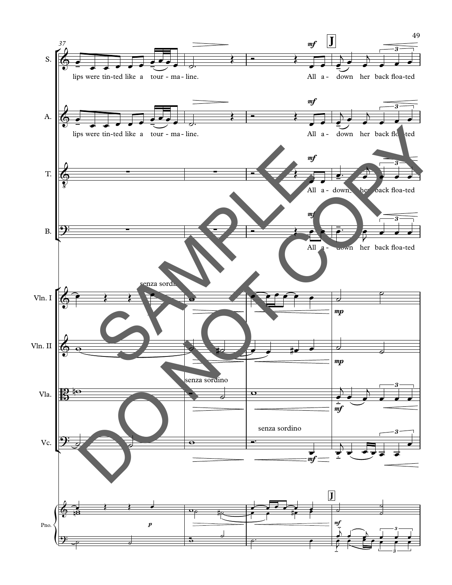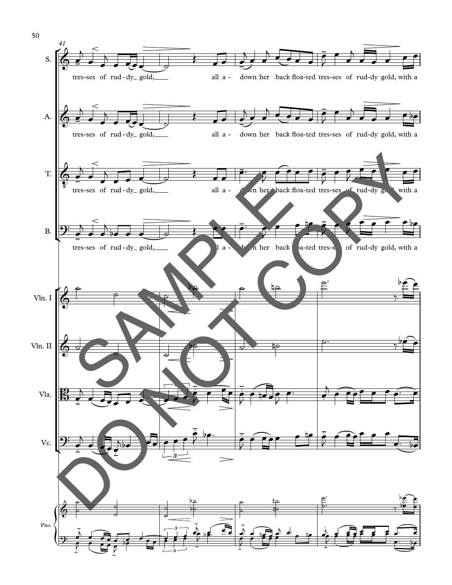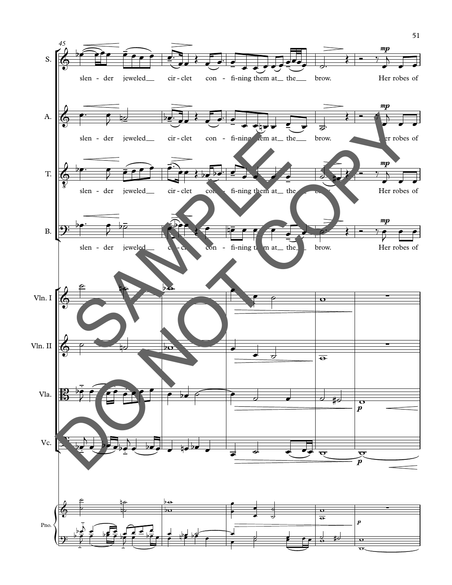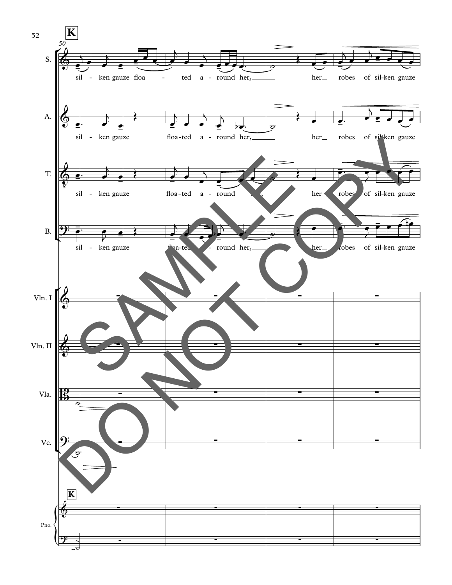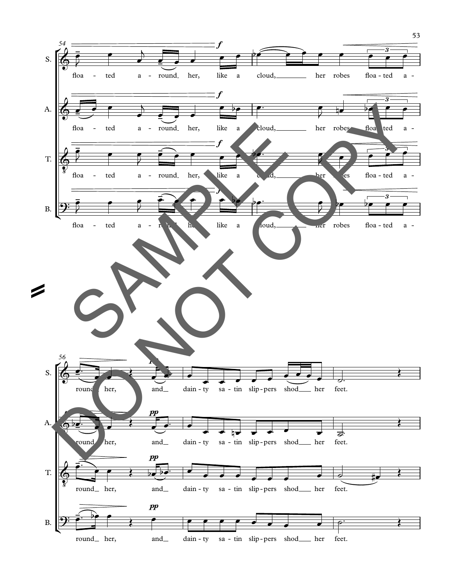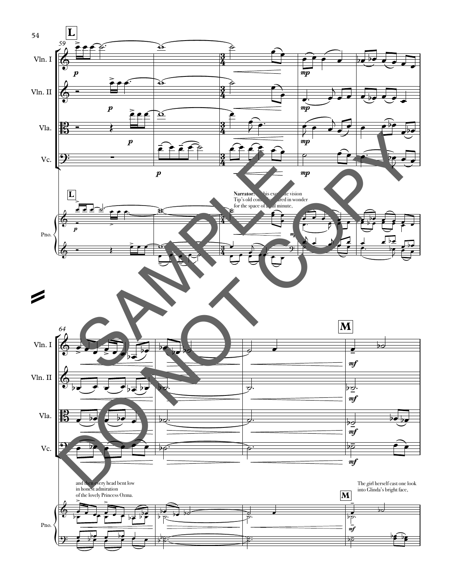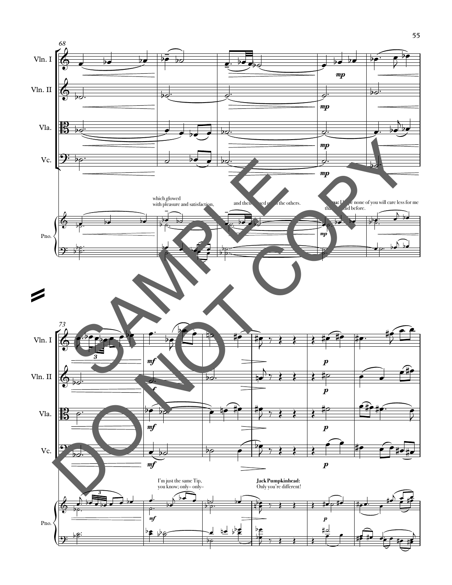